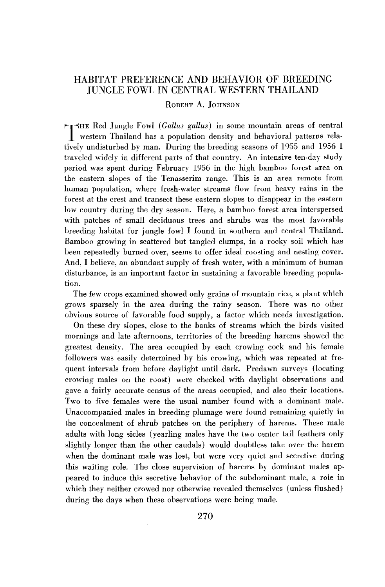## **HABITAT PREFERENCE AND BEHAVIOR OF BREEDING JUNGLE FOWL IN CENTRAL WESTERN THAILAND**

**ROBERT A. JOHNSON** 

THE Red Jungle Fowl (*Gallus gallus*) in some mountain areas of central western Thailand has a population density and behavioral patterns rela**tively undisturbed by man. During the breeding seasons of 1955 and 1956 I traveled widely in different parts of that country. An intensive ten-day study period was spent during February 1956 in the high bamboo forest area on the eastern slopes of the Tenasserim range. This is an area remote from human population, where fresh-water streams flow from heavy rains in the forest at the crest and transect these eastern slopes to disappear in the eastern low country during the dry season. Here, a bamboo forest area interspersed with patches of small deciduous trees and shrubs was the most favorable breeding habitat for jungle fowl I found in southern and central Thailand. Bamboo growing in scattered but tangled clumps, in a rocky soil which has been repeatedly burned over, seems to offer ideal roosting and nesting cover. And, I believe, an abundant supply of fresh water, with a minimum of human**  disturbance, is an important factor in sustaining a favorable breeding popula**tion.** 

**The few crops examined showed only grains of mountain rice, a plant which grows sparsely in the area during the rainy season. There was no other obvious source of favorable food supply, a factor which needs investigation.** 

**On these dry slopes, close to the banks of streams which the birds visited mornings and late afternoons, territories of the breeding harems showed the greatest density. The area occupied by each crowing cock and his female followers was easily determined by his crowing, which was repeated at frequent intervals from before daylight until dark. Predawn surveys (locating crowing males on the roost) were checked with daylight observations and gave a fairly accurate census of the areas occupied, and also their locations. Two to five females were the usual number found with a dominant male. Unaccompanied males in breeding plumage were found remaining quietly in the concealment of shrub patches on the periphery of harems. These male adults with long sicles (yearling males have the two center tail feathers only slightly longer than the other caudals) would doubtless take over the harem when the dominant male was lost, but were very quiet and secretive during this waiting role. The close supervision of harems by dominant males appeared to induce this secretive behavior of the subdominant male, a role in which they neither crowed nor otherwise revealed themselves (unless flushed) during the days when these observations were being made.**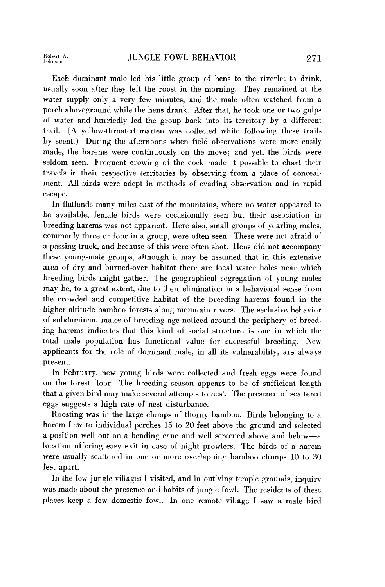Robert A.<br>Johnson

**Each dominant male led his little group of hens to the riverlet to drink, usually soon after they left the roost in the morning. They remained at the water supply only a very few minutes, and the male often watched from a perch aboveground while the hens drank. After that, he took one or two gulps of water and hurriedly led the group back into its territory by a different trail. (A yellow-throated marten was collected while following these trails by scent.) During the afternoons when field observations were more easily made, the harems were continuously on the move; and yet, the birds were seldom seen. Frequent crowing of the cock made it possible to chart their travels in their respective territories by observing from a place of concealment. All birds were adept in methods of evading observation and in rapid escape.** 

**In flatlands many miles east of the mountains, where no water appeared to be available, female birds were occasionally seen but their association in breeding harems was not apparent. Here also, small groups of yearling males, commonly three or four in a group, were often seen. These were not afraid of a passing truck, and because of this were often shot. Hens did not accompany these young-male groups, although it may be assumed that in this extensive area of dry and burned-over habitat there are local water holes near which breeding birds might gather. The geographical segregation of young males may be, to a great extent, due to their elimination in a behavioral sense from the crowded and competitive habitat of the breeding harems found in the higher altitude bamboo forests along mountain rivers. The seclusive behavior of subdominant males of breeding age noticed around the periphery of breeding harems indicates that this kind of social structure is one in which the total male population has functional value for successful breeding. New applicants for the role of dominant male: in all its vulnerability, are always present.** 

**In February, new young birds were collected and fresh eggs were found on the forest floor. The breeding season appears to be of sufficient length that a given bird may make several attempts to nest. The presence of scattered eggs suggests a high rate of nest disturbance.** 

**Roosting was in the large clumps of thorny bamboo. Birds belonging to a harem flew to individual perches 15 to 20 feet above the ground and selected a position well out on a bending cane and well screened above and below-a location offering easy exit in case of night prowlers. The birds of a harem were usually scattered in one or more overlapping bamboo clumps 10 to 30 feet apart.** 

**In the few jungle villages I visited, and in outlying temple grounds, inquiry was made about the presence and habits of jungle fowl. The residents of these places keep a few domestic fowl. In one remote village I saw a male bird**